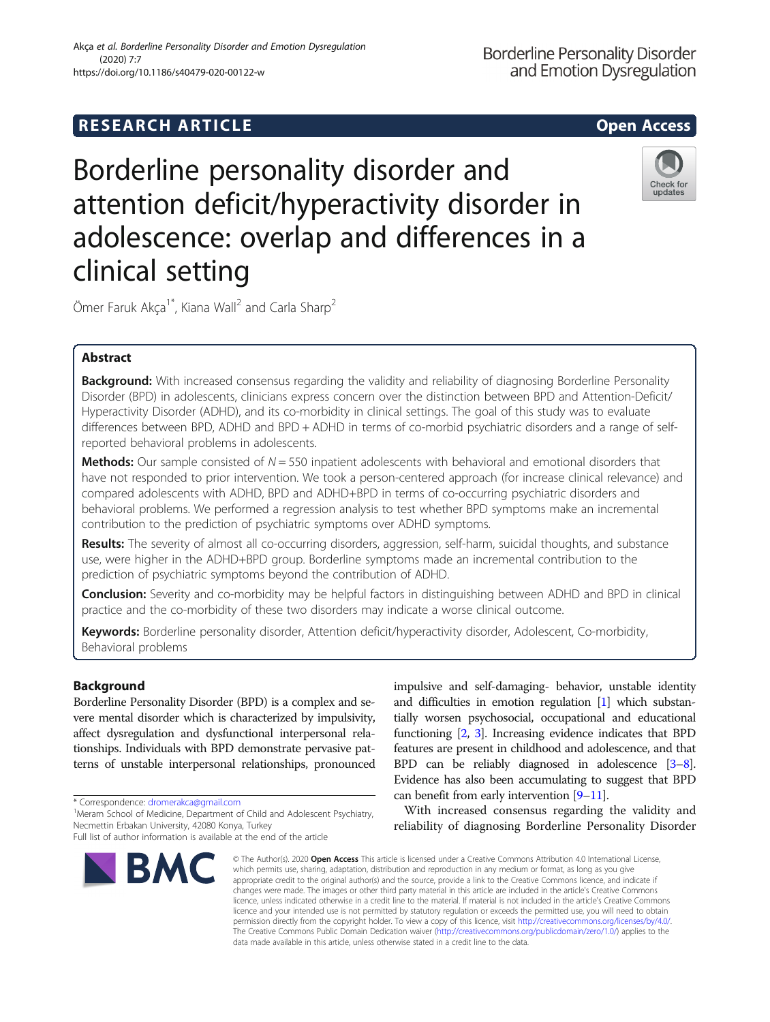# **RESEARCH ARTICLE Example 2014 CONSIDERING CONSIDERING CONSIDERING CONSIDERING CONSIDERING CONSIDERING CONSIDERING CONSIDERING CONSIDERING CONSIDERING CONSIDERING CONSIDERING CONSIDERING CONSIDERING CONSIDERING CONSIDE**

Borderline personality disorder and attention deficit/hyperactivity disorder in adolescence: overlap and differences in a clinical setting



Ömer Faruk Akça<sup>1\*</sup>, Kiana Wall<sup>2</sup> and Carla Sharp<sup>2</sup>

## Abstract

Background: With increased consensus regarding the validity and reliability of diagnosing Borderline Personality Disorder (BPD) in adolescents, clinicians express concern over the distinction between BPD and Attention-Deficit/ Hyperactivity Disorder (ADHD), and its co-morbidity in clinical settings. The goal of this study was to evaluate differences between BPD, ADHD and BPD + ADHD in terms of co-morbid psychiatric disorders and a range of selfreported behavioral problems in adolescents.

**Methods:** Our sample consisted of  $N = 550$  inpatient adolescents with behavioral and emotional disorders that have not responded to prior intervention. We took a person-centered approach (for increase clinical relevance) and compared adolescents with ADHD, BPD and ADHD+BPD in terms of co-occurring psychiatric disorders and behavioral problems. We performed a regression analysis to test whether BPD symptoms make an incremental contribution to the prediction of psychiatric symptoms over ADHD symptoms.

Results: The severity of almost all co-occurring disorders, aggression, self-harm, suicidal thoughts, and substance use, were higher in the ADHD+BPD group. Borderline symptoms made an incremental contribution to the prediction of psychiatric symptoms beyond the contribution of ADHD.

Conclusion: Severity and co-morbidity may be helpful factors in distinguishing between ADHD and BPD in clinical practice and the co-morbidity of these two disorders may indicate a worse clinical outcome.

Keywords: Borderline personality disorder, Attention deficit/hyperactivity disorder, Adolescent, Co-morbidity, Behavioral problems

## Background

Borderline Personality Disorder (BPD) is a complex and severe mental disorder which is characterized by impulsivity, affect dysregulation and dysfunctional interpersonal relationships. Individuals with BPD demonstrate pervasive patterns of unstable interpersonal relationships, pronounced

\* Correspondence: [dromerakca@gmail.com](mailto:dromerakca@gmail.com) <sup>1</sup>

<sup>1</sup> Meram School of Medicine, Department of Child and Adolescent Psychiatry, Necmettin Erbakan University, 42080 Konya, Turkey

Full list of author information is available at the end of the article



impulsive and self-damaging- behavior, unstable identity and difficulties in emotion regulation [\[1\]](#page-7-0) which substantially worsen psychosocial, occupational and educational functioning [[2](#page-7-0), [3](#page-7-0)]. Increasing evidence indicates that BPD features are present in childhood and adolescence, and that BPD can be reliably diagnosed in adolescence [\[3](#page-7-0)–[8](#page-7-0)]. Evidence has also been accumulating to suggest that BPD can benefit from early intervention [\[9](#page-7-0)–[11](#page-7-0)].

With increased consensus regarding the validity and reliability of diagnosing Borderline Personality Disorder

© The Author(s), 2020 **Open Access** This article is licensed under a Creative Commons Attribution 4.0 International License, which permits use, sharing, adaptation, distribution and reproduction in any medium or format, as long as you give appropriate credit to the original author(s) and the source, provide a link to the Creative Commons licence, and indicate if changes were made. The images or other third party material in this article are included in the article's Creative Commons licence, unless indicated otherwise in a credit line to the material. If material is not included in the article's Creative Commons licence and your intended use is not permitted by statutory regulation or exceeds the permitted use, you will need to obtain permission directly from the copyright holder. To view a copy of this licence, visit [http://creativecommons.org/licenses/by/4.0/.](http://creativecommons.org/licenses/by/4.0/) The Creative Commons Public Domain Dedication waiver [\(http://creativecommons.org/publicdomain/zero/1.0/](http://creativecommons.org/publicdomain/zero/1.0/)) applies to the data made available in this article, unless otherwise stated in a credit line to the data.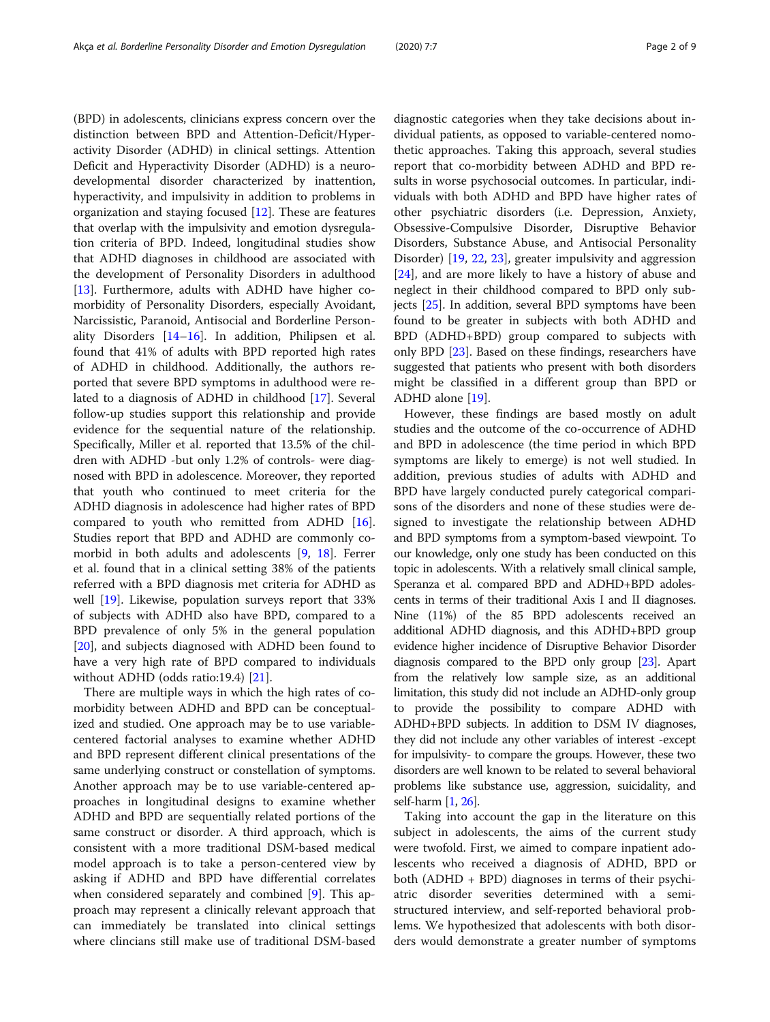(BPD) in adolescents, clinicians express concern over the distinction between BPD and Attention-Deficit/Hyperactivity Disorder (ADHD) in clinical settings. Attention Deficit and Hyperactivity Disorder (ADHD) is a neurodevelopmental disorder characterized by inattention, hyperactivity, and impulsivity in addition to problems in organization and staying focused [\[12](#page-7-0)]. These are features that overlap with the impulsivity and emotion dysregulation criteria of BPD. Indeed, longitudinal studies show that ADHD diagnoses in childhood are associated with the development of Personality Disorders in adulthood [[13\]](#page-7-0). Furthermore, adults with ADHD have higher comorbidity of Personality Disorders, especially Avoidant, Narcissistic, Paranoid, Antisocial and Borderline Personality Disorders [\[14](#page-7-0)–[16\]](#page-7-0). In addition, Philipsen et al. found that 41% of adults with BPD reported high rates of ADHD in childhood. Additionally, the authors reported that severe BPD symptoms in adulthood were related to a diagnosis of ADHD in childhood [\[17\]](#page-8-0). Several follow-up studies support this relationship and provide evidence for the sequential nature of the relationship. Specifically, Miller et al. reported that 13.5% of the children with ADHD -but only 1.2% of controls- were diagnosed with BPD in adolescence. Moreover, they reported that youth who continued to meet criteria for the ADHD diagnosis in adolescence had higher rates of BPD compared to youth who remitted from ADHD [\[16](#page-7-0)]. Studies report that BPD and ADHD are commonly comorbid in both adults and adolescents [\[9](#page-7-0), [18](#page-8-0)]. Ferrer et al. found that in a clinical setting 38% of the patients referred with a BPD diagnosis met criteria for ADHD as well [[19](#page-8-0)]. Likewise, population surveys report that 33% of subjects with ADHD also have BPD, compared to a BPD prevalence of only 5% in the general population [[20\]](#page-8-0), and subjects diagnosed with ADHD been found to have a very high rate of BPD compared to individuals without ADHD (odds ratio:19.4) [[21](#page-8-0)].

There are multiple ways in which the high rates of comorbidity between ADHD and BPD can be conceptualized and studied. One approach may be to use variablecentered factorial analyses to examine whether ADHD and BPD represent different clinical presentations of the same underlying construct or constellation of symptoms. Another approach may be to use variable-centered approaches in longitudinal designs to examine whether ADHD and BPD are sequentially related portions of the same construct or disorder. A third approach, which is consistent with a more traditional DSM-based medical model approach is to take a person-centered view by asking if ADHD and BPD have differential correlates when considered separately and combined [\[9](#page-7-0)]. This approach may represent a clinically relevant approach that can immediately be translated into clinical settings where clincians still make use of traditional DSM-based

diagnostic categories when they take decisions about individual patients, as opposed to variable-centered nomothetic approaches. Taking this approach, several studies report that co-morbidity between ADHD and BPD results in worse psychosocial outcomes. In particular, individuals with both ADHD and BPD have higher rates of other psychiatric disorders (i.e. Depression, Anxiety, Obsessive-Compulsive Disorder, Disruptive Behavior Disorders, Substance Abuse, and Antisocial Personality Disorder) [[19,](#page-8-0) [22,](#page-8-0) [23\]](#page-8-0), greater impulsivity and aggression [[24\]](#page-8-0), and are more likely to have a history of abuse and neglect in their childhood compared to BPD only subjects [\[25](#page-8-0)]. In addition, several BPD symptoms have been found to be greater in subjects with both ADHD and BPD (ADHD+BPD) group compared to subjects with only BPD [\[23\]](#page-8-0). Based on these findings, researchers have suggested that patients who present with both disorders might be classified in a different group than BPD or ADHD alone [\[19](#page-8-0)].

However, these findings are based mostly on adult studies and the outcome of the co-occurrence of ADHD and BPD in adolescence (the time period in which BPD symptoms are likely to emerge) is not well studied. In addition, previous studies of adults with ADHD and BPD have largely conducted purely categorical comparisons of the disorders and none of these studies were designed to investigate the relationship between ADHD and BPD symptoms from a symptom-based viewpoint. To our knowledge, only one study has been conducted on this topic in adolescents. With a relatively small clinical sample, Speranza et al. compared BPD and ADHD+BPD adolescents in terms of their traditional Axis I and II diagnoses. Nine (11%) of the 85 BPD adolescents received an additional ADHD diagnosis, and this ADHD+BPD group evidence higher incidence of Disruptive Behavior Disorder diagnosis compared to the BPD only group [\[23\]](#page-8-0). Apart from the relatively low sample size, as an additional limitation, this study did not include an ADHD-only group to provide the possibility to compare ADHD with ADHD+BPD subjects. In addition to DSM IV diagnoses, they did not include any other variables of interest -except for impulsivity- to compare the groups. However, these two disorders are well known to be related to several behavioral problems like substance use, aggression, suicidality, and self-harm [\[1](#page-7-0), [26](#page-8-0)].

Taking into account the gap in the literature on this subject in adolescents, the aims of the current study were twofold. First, we aimed to compare inpatient adolescents who received a diagnosis of ADHD, BPD or both (ADHD + BPD) diagnoses in terms of their psychiatric disorder severities determined with a semistructured interview, and self-reported behavioral problems. We hypothesized that adolescents with both disorders would demonstrate a greater number of symptoms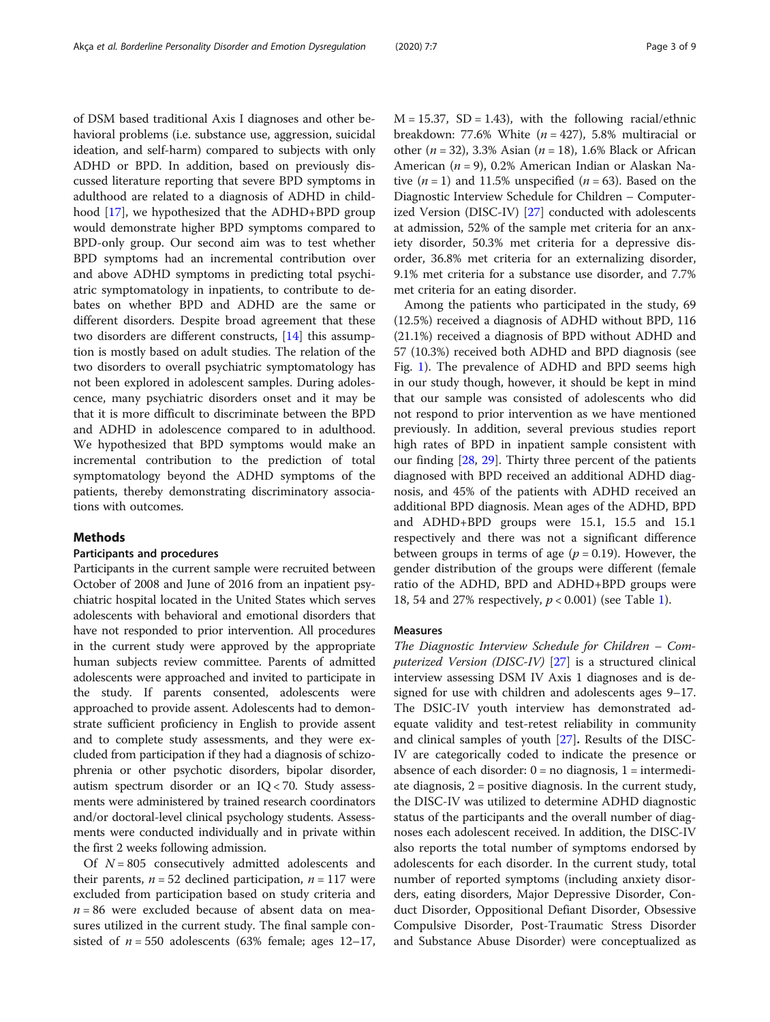of DSM based traditional Axis I diagnoses and other behavioral problems (i.e. substance use, aggression, suicidal ideation, and self-harm) compared to subjects with only ADHD or BPD. In addition, based on previously discussed literature reporting that severe BPD symptoms in adulthood are related to a diagnosis of ADHD in childhood [\[17\]](#page-8-0), we hypothesized that the ADHD+BPD group would demonstrate higher BPD symptoms compared to BPD-only group. Our second aim was to test whether BPD symptoms had an incremental contribution over and above ADHD symptoms in predicting total psychiatric symptomatology in inpatients, to contribute to debates on whether BPD and ADHD are the same or different disorders. Despite broad agreement that these two disorders are different constructs, [\[14](#page-7-0)] this assumption is mostly based on adult studies. The relation of the two disorders to overall psychiatric symptomatology has not been explored in adolescent samples. During adolescence, many psychiatric disorders onset and it may be that it is more difficult to discriminate between the BPD and ADHD in adolescence compared to in adulthood. We hypothesized that BPD symptoms would make an incremental contribution to the prediction of total symptomatology beyond the ADHD symptoms of the patients, thereby demonstrating discriminatory associations with outcomes.

### Methods

## Participants and procedures

Participants in the current sample were recruited between October of 2008 and June of 2016 from an inpatient psychiatric hospital located in the United States which serves adolescents with behavioral and emotional disorders that have not responded to prior intervention. All procedures in the current study were approved by the appropriate human subjects review committee. Parents of admitted adolescents were approached and invited to participate in the study. If parents consented, adolescents were approached to provide assent. Adolescents had to demonstrate sufficient proficiency in English to provide assent and to complete study assessments, and they were excluded from participation if they had a diagnosis of schizophrenia or other psychotic disorders, bipolar disorder, autism spectrum disorder or an  $IQ < 70$ . Study assessments were administered by trained research coordinators and/or doctoral-level clinical psychology students. Assessments were conducted individually and in private within the first 2 weeks following admission.

Of  $N = 805$  consecutively admitted adolescents and their parents,  $n = 52$  declined participation,  $n = 117$  were excluded from participation based on study criteria and  $n = 86$  were excluded because of absent data on measures utilized in the current study. The final sample consisted of  $n = 550$  adolescents (63% female; ages 12–17,  $M = 15.37$ ,  $SD = 1.43$ , with the following racial/ethnic breakdown: 77.6% White  $(n = 427)$ , 5.8% multiracial or other ( $n = 32$ ), 3.3% Asian ( $n = 18$ ), 1.6% Black or African American ( $n = 9$ ), 0.2% American Indian or Alaskan Native  $(n = 1)$  and 11.5% unspecified  $(n = 63)$ . Based on the Diagnostic Interview Schedule for Children – Computerized Version (DISC-IV) [\[27](#page-8-0)] conducted with adolescents at admission, 52% of the sample met criteria for an anxiety disorder, 50.3% met criteria for a depressive disorder, 36.8% met criteria for an externalizing disorder, 9.1% met criteria for a substance use disorder, and 7.7% met criteria for an eating disorder.

Among the patients who participated in the study, 69 (12.5%) received a diagnosis of ADHD without BPD, 116 (21.1%) received a diagnosis of BPD without ADHD and 57 (10.3%) received both ADHD and BPD diagnosis (see Fig. [1](#page-3-0)). The prevalence of ADHD and BPD seems high in our study though, however, it should be kept in mind that our sample was consisted of adolescents who did not respond to prior intervention as we have mentioned previously. In addition, several previous studies report high rates of BPD in inpatient sample consistent with our finding [[28](#page-8-0), [29\]](#page-8-0). Thirty three percent of the patients diagnosed with BPD received an additional ADHD diagnosis, and 45% of the patients with ADHD received an additional BPD diagnosis. Mean ages of the ADHD, BPD and ADHD+BPD groups were 15.1, 15.5 and 15.1 respectively and there was not a significant difference between groups in terms of age ( $p = 0.19$ ). However, the gender distribution of the groups were different (female ratio of the ADHD, BPD and ADHD+BPD groups were [1](#page-3-0)8, 54 and 27% respectively,  $p < 0.001$ ) (see Table 1).

## Measures

The Diagnostic Interview Schedule for Children – Com-puterized Version (DISC-IV) [\[27](#page-8-0)] is a structured clinical interview assessing DSM IV Axis 1 diagnoses and is designed for use with children and adolescents ages 9–17. The DSIC-IV youth interview has demonstrated adequate validity and test-retest reliability in community and clinical samples of youth [\[27](#page-8-0)]. Results of the DISC-IV are categorically coded to indicate the presence or absence of each disorder:  $0 = no$  diagnosis,  $1 =$  intermediate diagnosis, 2 = positive diagnosis. In the current study, the DISC-IV was utilized to determine ADHD diagnostic status of the participants and the overall number of diagnoses each adolescent received. In addition, the DISC-IV also reports the total number of symptoms endorsed by adolescents for each disorder. In the current study, total number of reported symptoms (including anxiety disorders, eating disorders, Major Depressive Disorder, Conduct Disorder, Oppositional Defiant Disorder, Obsessive Compulsive Disorder, Post-Traumatic Stress Disorder and Substance Abuse Disorder) were conceptualized as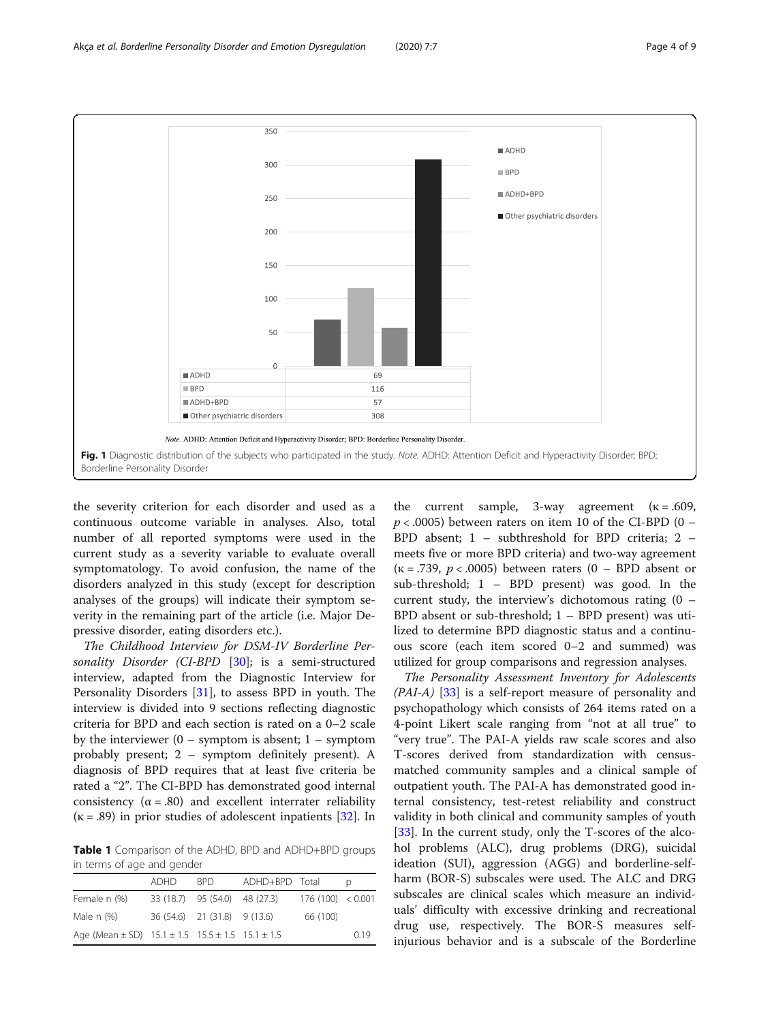<span id="page-3-0"></span>

the severity criterion for each disorder and used as a continuous outcome variable in analyses. Also, total number of all reported symptoms were used in the current study as a severity variable to evaluate overall symptomatology. To avoid confusion, the name of the disorders analyzed in this study (except for description analyses of the groups) will indicate their symptom severity in the remaining part of the article (i.e. Major Depressive disorder, eating disorders etc.).

The Childhood Interview for DSM-IV Borderline Per-sonality Disorder (CI-BPD [\[30](#page-8-0)]; is a semi-structured interview, adapted from the Diagnostic Interview for Personality Disorders [[31\]](#page-8-0), to assess BPD in youth. The interview is divided into 9 sections reflecting diagnostic criteria for BPD and each section is rated on a 0–2 scale by the interviewer  $(0 -$  symptom is absent;  $1 -$  symptom probably present; 2 – symptom definitely present). A diagnosis of BPD requires that at least five criteria be rated a "2". The CI-BPD has demonstrated good internal consistency  $(\alpha = .80)$  and excellent interrater reliability  $(k = .89)$  in prior studies of adolescent inpatients [\[32](#page-8-0)]. In

Table 1 Comparison of the ADHD, BPD and ADHD+BPD groups in terms of age and gender

|                                                                  | <b>ADHD</b> | <b>BPD</b>                    | ADHD+BPD Total |                  | D    |
|------------------------------------------------------------------|-------------|-------------------------------|----------------|------------------|------|
| Female n (%)                                                     |             | 33 (18.7) 95 (54.0) 48 (27.3) |                | 176(100) < 0.001 |      |
| Male $n$ $(\%)$                                                  |             | 36 (54.6) 21 (31.8) 9 (13.6)  |                | 66 (100)         |      |
| Age (Mean $\pm$ SD) 15.1 $\pm$ 1.5 15.5 $\pm$ 1.5 15.1 $\pm$ 1.5 |             |                               |                |                  | 0.19 |

the current sample, 3-way agreement  $(\kappa = .609, )$  $p < .0005$ ) between raters on item 10 of the CI-BPD (0 – BPD absent; 1 – subthreshold for BPD criteria; 2 – meets five or more BPD criteria) and two-way agreement ( $\kappa$  = .739,  $p$  < .0005) between raters (0 – BPD absent or sub-threshold; 1 – BPD present) was good. In the current study, the interview's dichotomous rating (0 – BPD absent or sub-threshold; 1 – BPD present) was utilized to determine BPD diagnostic status and a continuous score (each item scored 0–2 and summed) was utilized for group comparisons and regression analyses.

The Personality Assessment Inventory for Adolescents (PAI-A) [\[33\]](#page-8-0) is a self-report measure of personality and psychopathology which consists of 264 items rated on a 4-point Likert scale ranging from "not at all true" to "very true". The PAI-A yields raw scale scores and also T-scores derived from standardization with censusmatched community samples and a clinical sample of outpatient youth. The PAI-A has demonstrated good internal consistency, test-retest reliability and construct validity in both clinical and community samples of youth [[33\]](#page-8-0). In the current study, only the T-scores of the alcohol problems (ALC), drug problems (DRG), suicidal ideation (SUI), aggression (AGG) and borderline-selfharm (BOR-S) subscales were used. The ALC and DRG subscales are clinical scales which measure an individuals' difficulty with excessive drinking and recreational drug use, respectively. The BOR-S measures selfinjurious behavior and is a subscale of the Borderline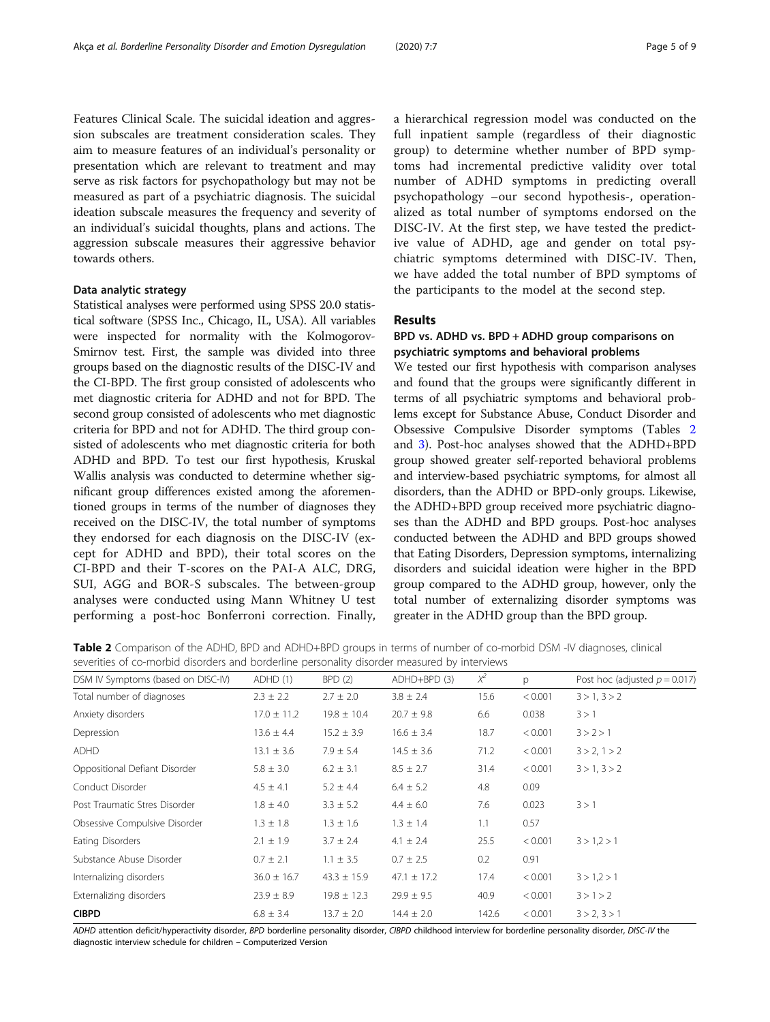Features Clinical Scale. The suicidal ideation and aggression subscales are treatment consideration scales. They aim to measure features of an individual's personality or presentation which are relevant to treatment and may serve as risk factors for psychopathology but may not be measured as part of a psychiatric diagnosis. The suicidal ideation subscale measures the frequency and severity of an individual's suicidal thoughts, plans and actions. The aggression subscale measures their aggressive behavior towards others.

## Data analytic strategy

Statistical analyses were performed using SPSS 20.0 statistical software (SPSS Inc., Chicago, IL, USA). All variables were inspected for normality with the Kolmogorov-Smirnov test. First, the sample was divided into three groups based on the diagnostic results of the DISC-IV and the CI-BPD. The first group consisted of adolescents who met diagnostic criteria for ADHD and not for BPD. The second group consisted of adolescents who met diagnostic criteria for BPD and not for ADHD. The third group consisted of adolescents who met diagnostic criteria for both ADHD and BPD. To test our first hypothesis, Kruskal Wallis analysis was conducted to determine whether significant group differences existed among the aforementioned groups in terms of the number of diagnoses they received on the DISC-IV, the total number of symptoms they endorsed for each diagnosis on the DISC-IV (except for ADHD and BPD), their total scores on the CI-BPD and their T-scores on the PAI-A ALC, DRG, SUI, AGG and BOR-S subscales. The between-group analyses were conducted using Mann Whitney U test performing a post-hoc Bonferroni correction. Finally, a hierarchical regression model was conducted on the full inpatient sample (regardless of their diagnostic group) to determine whether number of BPD symptoms had incremental predictive validity over total number of ADHD symptoms in predicting overall psychopathology –our second hypothesis-, operationalized as total number of symptoms endorsed on the DISC-IV. At the first step, we have tested the predictive value of ADHD, age and gender on total psychiatric symptoms determined with DISC-IV. Then, we have added the total number of BPD symptoms of the participants to the model at the second step.

## Results

## BPD vs. ADHD vs. BPD + ADHD group comparisons on psychiatric symptoms and behavioral problems

We tested our first hypothesis with comparison analyses and found that the groups were significantly different in terms of all psychiatric symptoms and behavioral problems except for Substance Abuse, Conduct Disorder and Obsessive Compulsive Disorder symptoms (Tables 2 and [3\)](#page-5-0). Post-hoc analyses showed that the ADHD+BPD group showed greater self-reported behavioral problems and interview-based psychiatric symptoms, for almost all disorders, than the ADHD or BPD-only groups. Likewise, the ADHD+BPD group received more psychiatric diagnoses than the ADHD and BPD groups. Post-hoc analyses conducted between the ADHD and BPD groups showed that Eating Disorders, Depression symptoms, internalizing disorders and suicidal ideation were higher in the BPD group compared to the ADHD group, however, only the total number of externalizing disorder symptoms was greater in the ADHD group than the BPD group.

Table 2 Comparison of the ADHD, BPD and ADHD+BPD groups in terms of number of co-morbid DSM -IV diagnoses, clinical severities of co-morbid disorders and borderline personality disorder measured by interviews

| DSM IV Symptoms (based on DISC-IV) | ADHD (1)        | BPD(2)          | ADHD+BPD (3)    | $X^2$ | p       | Post hoc (adjusted $p = 0.017$ ) |
|------------------------------------|-----------------|-----------------|-----------------|-------|---------|----------------------------------|
| Total number of diagnoses          | $2.3 \pm 2.2$   | $2.7 \pm 2.0$   | $3.8 \pm 2.4$   | 15.6  | < 0.001 | 3 > 1, 3 > 2                     |
| Anxiety disorders                  | $17.0 \pm 11.2$ | $19.8 \pm 10.4$ | $20.7 \pm 9.8$  | 6.6   | 0.038   | 3 > 1                            |
| Depression                         | $13.6 \pm 4.4$  | $15.2 \pm 3.9$  | $16.6 \pm 3.4$  | 18.7  | < 0.001 | 3 > 2 > 1                        |
| <b>ADHD</b>                        | $13.1 \pm 3.6$  | $7.9 \pm 5.4$   | $14.5 \pm 3.6$  | 71.2  | < 0.001 | 3 > 2, 1 > 2                     |
| Oppositional Defiant Disorder      | $5.8 \pm 3.0$   | $6.2 \pm 3.1$   | $8.5 \pm 2.7$   | 31.4  | < 0.001 | 3 > 1, 3 > 2                     |
| Conduct Disorder                   | $4.5 \pm 4.1$   | $5.2 \pm 4.4$   | $6.4 \pm 5.2$   | 4.8   | 0.09    |                                  |
| Post Traumatic Stres Disorder      | $1.8 \pm 4.0$   | $3.3 \pm 5.2$   | $4.4 \pm 6.0$   | 7.6   | 0.023   | 3 > 1                            |
| Obsessive Compulsive Disorder      | $1.3 \pm 1.8$   | $1.3 \pm 1.6$   | $1.3 \pm 1.4$   | 1.1   | 0.57    |                                  |
| Eating Disorders                   | $2.1 \pm 1.9$   | $3.7 \pm 2.4$   | 4.1 $\pm$ 2.4   | 25.5  | < 0.001 | 3 > 1,2 > 1                      |
| Substance Abuse Disorder           | $0.7 \pm 2.1$   | $1.1 \pm 3.5$   | $0.7 \pm 2.5$   | 0.2   | 0.91    |                                  |
| Internalizing disorders            | $36.0 \pm 16.7$ | $43.3 \pm 15.9$ | $47.1 \pm 17.2$ | 17.4  | < 0.001 | 3 > 1,2 > 1                      |
| Externalizing disorders            | $23.9 \pm 8.9$  | $19.8 \pm 12.3$ | $29.9 \pm 9.5$  | 40.9  | < 0.001 | 3 > 1 > 2                        |
| <b>CIBPD</b>                       | $6.8 \pm 3.4$   | $13.7 \pm 2.0$  | $14.4 \pm 2.0$  | 142.6 | < 0.001 | 3 > 2, 3 > 1                     |

ADHD attention deficit/hyperactivity disorder, BPD borderline personality disorder, CIBPD childhood interview for borderline personality disorder, DISC-IV the diagnostic interview schedule for children – Computerized Version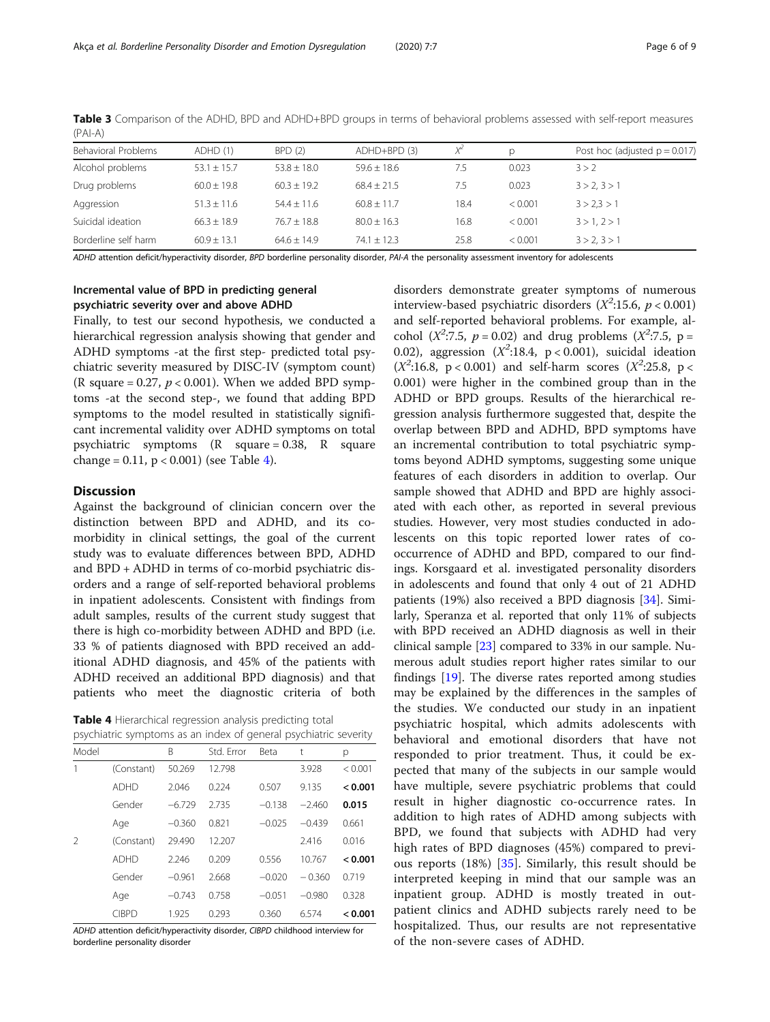| Behavioral Problems  | ADHD (1)        | BPD(2)          | ADHD+BPD (3)    | X <sup>2</sup> | D       | Post hoc (adjusted $p = 0.017$ ) |
|----------------------|-----------------|-----------------|-----------------|----------------|---------|----------------------------------|
| Alcohol problems     | $53.1 \pm 15.7$ | $53.8 \pm 18.0$ | $59.6 \pm 18.6$ | 7.5            | 0.023   | 3 > 2                            |
| Drug problems        | $60.0 \pm 19.8$ | $60.3 \pm 19.2$ | $68.4 \pm 21.5$ | 7.5            | 0.023   | 3 > 2, 3 > 1                     |
| Aggression           | $51.3 + 11.6$   | $54.4 + 11.6$   | $60.8 \pm 11.7$ | 18.4           | < 0.001 | 3 > 2,3 > 1                      |
| Suicidal ideation    | $66.3 + 18.9$   | $76.7 + 18.8$   | $80.0 \pm 16.3$ | 16.8           | < 0.001 | 3 > 1, 2 > 1                     |
| Borderline self harm | $60.9 + 13.1$   | $64.6 + 14.9$   | $74.1 + 12.3$   | 25.8           | < 0.001 | 3 > 2, 3 > 1                     |
|                      |                 |                 |                 |                |         |                                  |

<span id="page-5-0"></span>Table 3 Comparison of the ADHD, BPD and ADHD+BPD groups in terms of behavioral problems assessed with self-report measures  $(PA|A)$ 

ADHD attention deficit/hyperactivity disorder, BPD borderline personality disorder, PAI-A the personality assessment inventory for adolescents

## Incremental value of BPD in predicting general psychiatric severity over and above ADHD

Finally, to test our second hypothesis, we conducted a hierarchical regression analysis showing that gender and ADHD symptoms -at the first step- predicted total psychiatric severity measured by DISC-IV (symptom count) (R square =  $0.27$ ,  $p < 0.001$ ). When we added BPD symptoms -at the second step-, we found that adding BPD symptoms to the model resulted in statistically significant incremental validity over ADHD symptoms on total psychiatric symptoms (R square = 0.38, R square change =  $0.11$ ,  $p < 0.001$ ) (see Table 4).

## **Discussion**

Against the background of clinician concern over the distinction between BPD and ADHD, and its comorbidity in clinical settings, the goal of the current study was to evaluate differences between BPD, ADHD and BPD + ADHD in terms of co-morbid psychiatric disorders and a range of self-reported behavioral problems in inpatient adolescents. Consistent with findings from adult samples, results of the current study suggest that there is high co-morbidity between ADHD and BPD (i.e. 33 % of patients diagnosed with BPD received an additional ADHD diagnosis, and 45% of the patients with ADHD received an additional BPD diagnosis) and that patients who meet the diagnostic criteria of both

Table 4 Hierarchical regression analysis predicting total psychiatric symptoms as an index of general psychiatric severity

| poyer natric by mptoms as an mack or general psycriatric seventy |              |          |            |          |          |         |  |
|------------------------------------------------------------------|--------------|----------|------------|----------|----------|---------|--|
| Model                                                            |              | B        | Std. Error | Beta     | t        | р       |  |
| 1                                                                | (Constant)   | 50.269   | 12.798     |          | 3.928    | < 0.001 |  |
|                                                                  | <b>ADHD</b>  | 2.046    | 0.224      | 0.507    | 9.135    | < 0.001 |  |
|                                                                  | Gender       | $-6.729$ | 2.735      | $-0.138$ | $-2.460$ | 0.015   |  |
|                                                                  | Age          | $-0.360$ | 0.821      | $-0.025$ | $-0.439$ | 0.661   |  |
| $\mathcal{L}$                                                    | (Constant)   | 29.490   | 12.207     |          | 2.416    | 0.016   |  |
|                                                                  | <b>ADHD</b>  | 2.246    | 0.209      | 0.556    | 10.767   | < 0.001 |  |
|                                                                  | Gender       | $-0.961$ | 2.668      | $-0.020$ | $-0.360$ | 0.719   |  |
|                                                                  | Age          | $-0.743$ | 0.758      | $-0.051$ | $-0.980$ | 0.328   |  |
|                                                                  | <b>CIBPD</b> | 1.925    | 0.293      | 0.360    | 6.574    | < 0.001 |  |

ADHD attention deficit/hyperactivity disorder, CIBPD childhood interview for borderline personality disorder

disorders demonstrate greater symptoms of numerous interview-based psychiatric disorders ( $X^2$ :15.6,  $p < 0.001$ ) and self-reported behavioral problems. For example, alcohol ( $X^2$ :7.5,  $p = 0.02$ ) and drug problems ( $X^2$ :7.5, p = 0.02), aggression  $(X^2:18.4, p < 0.001)$ , suicidal ideation  $(X^2:16.8, p < 0.001)$  and self-harm scores  $(X^2:25.8, p <$ 0.001) were higher in the combined group than in the ADHD or BPD groups. Results of the hierarchical regression analysis furthermore suggested that, despite the overlap between BPD and ADHD, BPD symptoms have an incremental contribution to total psychiatric symptoms beyond ADHD symptoms, suggesting some unique features of each disorders in addition to overlap. Our sample showed that ADHD and BPD are highly associated with each other, as reported in several previous studies. However, very most studies conducted in adolescents on this topic reported lower rates of cooccurrence of ADHD and BPD, compared to our findings. Korsgaard et al. investigated personality disorders in adolescents and found that only 4 out of 21 ADHD patients (19%) also received a BPD diagnosis [[34\]](#page-8-0). Similarly, Speranza et al. reported that only 11% of subjects with BPD received an ADHD diagnosis as well in their clinical sample [[23\]](#page-8-0) compared to 33% in our sample. Numerous adult studies report higher rates similar to our findings [\[19](#page-8-0)]. The diverse rates reported among studies may be explained by the differences in the samples of the studies. We conducted our study in an inpatient psychiatric hospital, which admits adolescents with behavioral and emotional disorders that have not responded to prior treatment. Thus, it could be expected that many of the subjects in our sample would have multiple, severe psychiatric problems that could result in higher diagnostic co-occurrence rates. In addition to high rates of ADHD among subjects with BPD, we found that subjects with ADHD had very high rates of BPD diagnoses (45%) compared to previous reports (18%) [[35\]](#page-8-0). Similarly, this result should be interpreted keeping in mind that our sample was an inpatient group. ADHD is mostly treated in outpatient clinics and ADHD subjects rarely need to be hospitalized. Thus, our results are not representative of the non-severe cases of ADHD.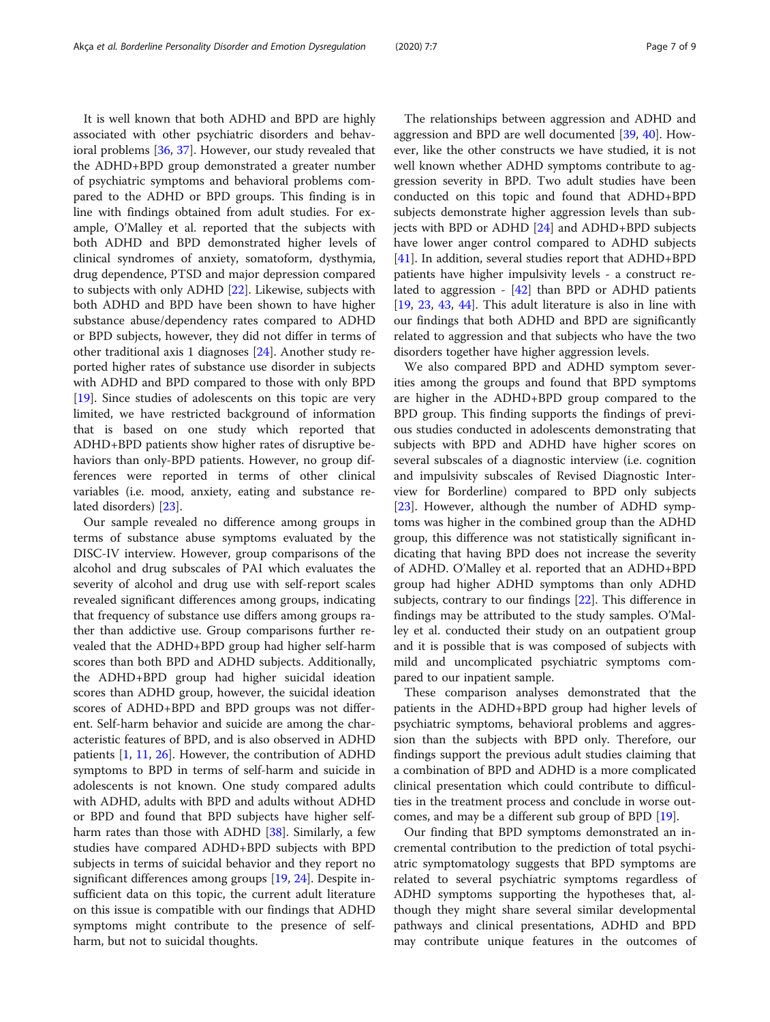It is well known that both ADHD and BPD are highly associated with other psychiatric disorders and behavioral problems [[36,](#page-8-0) [37\]](#page-8-0). However, our study revealed that the ADHD+BPD group demonstrated a greater number of psychiatric symptoms and behavioral problems compared to the ADHD or BPD groups. This finding is in line with findings obtained from adult studies. For example, O'Malley et al. reported that the subjects with both ADHD and BPD demonstrated higher levels of clinical syndromes of anxiety, somatoform, dysthymia, drug dependence, PTSD and major depression compared to subjects with only ADHD [\[22](#page-8-0)]. Likewise, subjects with both ADHD and BPD have been shown to have higher substance abuse/dependency rates compared to ADHD or BPD subjects, however, they did not differ in terms of other traditional axis 1 diagnoses [[24\]](#page-8-0). Another study reported higher rates of substance use disorder in subjects with ADHD and BPD compared to those with only BPD [[19\]](#page-8-0). Since studies of adolescents on this topic are very limited, we have restricted background of information that is based on one study which reported that ADHD+BPD patients show higher rates of disruptive behaviors than only-BPD patients. However, no group differences were reported in terms of other clinical variables (i.e. mood, anxiety, eating and substance related disorders) [\[23\]](#page-8-0).

Our sample revealed no difference among groups in terms of substance abuse symptoms evaluated by the DISC-IV interview. However, group comparisons of the alcohol and drug subscales of PAI which evaluates the severity of alcohol and drug use with self-report scales revealed significant differences among groups, indicating that frequency of substance use differs among groups rather than addictive use. Group comparisons further revealed that the ADHD+BPD group had higher self-harm scores than both BPD and ADHD subjects. Additionally, the ADHD+BPD group had higher suicidal ideation scores than ADHD group, however, the suicidal ideation scores of ADHD+BPD and BPD groups was not different. Self-harm behavior and suicide are among the characteristic features of BPD, and is also observed in ADHD patients [\[1](#page-7-0), [11](#page-7-0), [26](#page-8-0)]. However, the contribution of ADHD symptoms to BPD in terms of self-harm and suicide in adolescents is not known. One study compared adults with ADHD, adults with BPD and adults without ADHD or BPD and found that BPD subjects have higher selfharm rates than those with ADHD [\[38](#page-8-0)]. Similarly, a few studies have compared ADHD+BPD subjects with BPD subjects in terms of suicidal behavior and they report no significant differences among groups [[19,](#page-8-0) [24](#page-8-0)]. Despite insufficient data on this topic, the current adult literature on this issue is compatible with our findings that ADHD symptoms might contribute to the presence of selfharm, but not to suicidal thoughts.

The relationships between aggression and ADHD and aggression and BPD are well documented [\[39,](#page-8-0) [40](#page-8-0)]. However, like the other constructs we have studied, it is not well known whether ADHD symptoms contribute to aggression severity in BPD. Two adult studies have been conducted on this topic and found that ADHD+BPD subjects demonstrate higher aggression levels than subjects with BPD or ADHD  $[24]$  $[24]$  and ADHD+BPD subjects have lower anger control compared to ADHD subjects [[41\]](#page-8-0). In addition, several studies report that ADHD+BPD patients have higher impulsivity levels - a construct related to aggression - [\[42](#page-8-0)] than BPD or ADHD patients [[19,](#page-8-0) [23](#page-8-0), [43](#page-8-0), [44\]](#page-8-0). This adult literature is also in line with our findings that both ADHD and BPD are significantly related to aggression and that subjects who have the two disorders together have higher aggression levels.

We also compared BPD and ADHD symptom severities among the groups and found that BPD symptoms are higher in the ADHD+BPD group compared to the BPD group. This finding supports the findings of previous studies conducted in adolescents demonstrating that subjects with BPD and ADHD have higher scores on several subscales of a diagnostic interview (i.e. cognition and impulsivity subscales of Revised Diagnostic Interview for Borderline) compared to BPD only subjects [[23\]](#page-8-0). However, although the number of ADHD symptoms was higher in the combined group than the ADHD group, this difference was not statistically significant indicating that having BPD does not increase the severity of ADHD. O'Malley et al. reported that an ADHD+BPD group had higher ADHD symptoms than only ADHD subjects, contrary to our findings [[22](#page-8-0)]. This difference in findings may be attributed to the study samples. O'Malley et al. conducted their study on an outpatient group and it is possible that is was composed of subjects with mild and uncomplicated psychiatric symptoms compared to our inpatient sample.

These comparison analyses demonstrated that the patients in the ADHD+BPD group had higher levels of psychiatric symptoms, behavioral problems and aggression than the subjects with BPD only. Therefore, our findings support the previous adult studies claiming that a combination of BPD and ADHD is a more complicated clinical presentation which could contribute to difficulties in the treatment process and conclude in worse outcomes, and may be a different sub group of BPD [[19](#page-8-0)].

Our finding that BPD symptoms demonstrated an incremental contribution to the prediction of total psychiatric symptomatology suggests that BPD symptoms are related to several psychiatric symptoms regardless of ADHD symptoms supporting the hypotheses that, although they might share several similar developmental pathways and clinical presentations, ADHD and BPD may contribute unique features in the outcomes of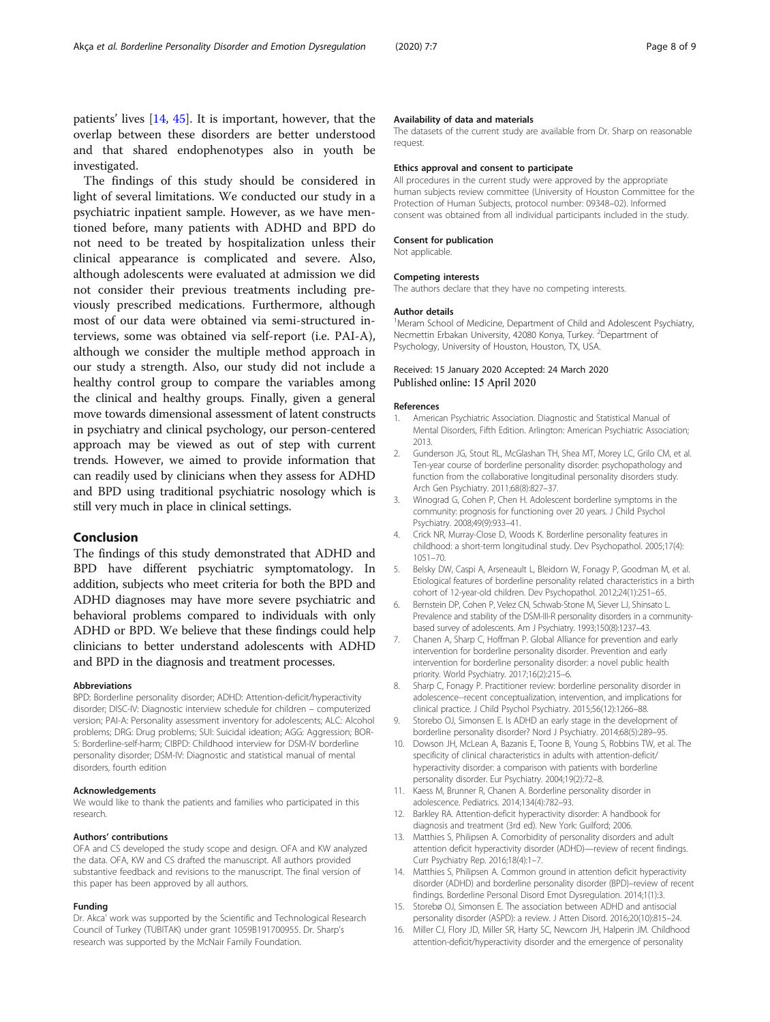<span id="page-7-0"></span>patients' lives [14, [45\]](#page-8-0). It is important, however, that the overlap between these disorders are better understood and that shared endophenotypes also in youth be investigated.

The findings of this study should be considered in light of several limitations. We conducted our study in a psychiatric inpatient sample. However, as we have mentioned before, many patients with ADHD and BPD do not need to be treated by hospitalization unless their clinical appearance is complicated and severe. Also, although adolescents were evaluated at admission we did not consider their previous treatments including previously prescribed medications. Furthermore, although most of our data were obtained via semi-structured interviews, some was obtained via self-report (i.e. PAI-A), although we consider the multiple method approach in our study a strength. Also, our study did not include a healthy control group to compare the variables among the clinical and healthy groups. Finally, given a general move towards dimensional assessment of latent constructs in psychiatry and clinical psychology, our person-centered approach may be viewed as out of step with current trends. However, we aimed to provide information that can readily used by clinicians when they assess for ADHD and BPD using traditional psychiatric nosology which is still very much in place in clinical settings.

## Conclusion

The findings of this study demonstrated that ADHD and BPD have different psychiatric symptomatology. In addition, subjects who meet criteria for both the BPD and ADHD diagnoses may have more severe psychiatric and behavioral problems compared to individuals with only ADHD or BPD. We believe that these findings could help clinicians to better understand adolescents with ADHD and BPD in the diagnosis and treatment processes.

#### Abbreviations

BPD: Borderline personality disorder; ADHD: Attention-deficit/hyperactivity disorder; DISC-IV: Diagnostic interview schedule for children – computerized version; PAI-A: Personality assessment inventory for adolescents; ALC: Alcohol problems; DRG: Drug problems; SUI: Suicidal ideation; AGG: Aggression; BOR-S: Borderline-self-harm; CIBPD: Childhood interview for DSM-IV borderline personality disorder; DSM-IV: Diagnostic and statistical manual of mental disorders, fourth edition

#### Acknowledgements

We would like to thank the patients and families who participated in this research.

#### Authors' contributions

OFA and CS developed the study scope and design. OFA and KW analyzed the data. OFA, KW and CS drafted the manuscript. All authors provided substantive feedback and revisions to the manuscript. The final version of this paper has been approved by all authors.

#### Funding

Dr. Akca' work was supported by the Scientific and Technological Research Council of Turkey (TUBITAK) under grant 1059B191700955. Dr. Sharp's research was supported by the McNair Family Foundation.

#### Availability of data and materials

The datasets of the current study are available from Dr. Sharp on reasonable request.

#### Ethics approval and consent to participate

All procedures in the current study were approved by the appropriate human subjects review committee (University of Houston Committee for the Protection of Human Subjects, protocol number: 09348–02). Informed consent was obtained from all individual participants included in the study.

#### Consent for publication

Not applicable.

#### Competing interests

The authors declare that they have no competing interests.

#### Author details

<sup>1</sup>Meram School of Medicine, Department of Child and Adolescent Psychiatry Necmettin Erbakan University, 42080 Konya, Turkey. <sup>2</sup>Department of Psychology, University of Houston, Houston, TX, USA.

#### Received: 15 January 2020 Accepted: 24 March 2020 Published online: 15 April 2020

#### References

- 1. American Psychiatric Association. Diagnostic and Statistical Manual of Mental Disorders, Fifth Edition. Arlington: American Psychiatric Association; 2013.
- 2. Gunderson JG, Stout RL, McGlashan TH, Shea MT, Morey LC, Grilo CM, et al. Ten-year course of borderline personality disorder: psychopathology and function from the collaborative longitudinal personality disorders study. Arch Gen Psychiatry. 2011;68(8):827–37.
- 3. Winograd G, Cohen P, Chen H. Adolescent borderline symptoms in the community: prognosis for functioning over 20 years. J Child Psychol Psychiatry. 2008;49(9):933–41.
- 4. Crick NR, Murray-Close D, Woods K. Borderline personality features in childhood: a short-term longitudinal study. Dev Psychopathol. 2005;17(4): 1051–70.
- 5. Belsky DW, Caspi A, Arseneault L, Bleidorn W, Fonagy P, Goodman M, et al. Etiological features of borderline personality related characteristics in a birth cohort of 12-year-old children. Dev Psychopathol. 2012;24(1):251–65.
- 6. Bernstein DP, Cohen P, Velez CN, Schwab-Stone M, Siever LJ, Shinsato L. Prevalence and stability of the DSM-III-R personality disorders in a communitybased survey of adolescents. Am J Psychiatry. 1993;150(8):1237–43.
- 7. Chanen A, Sharp C, Hoffman P. Global Alliance for prevention and early intervention for borderline personality disorder. Prevention and early intervention for borderline personality disorder: a novel public health priority. World Psychiatry. 2017;16(2):215–6.
- 8. Sharp C, Fonagy P. Practitioner review: borderline personality disorder in adolescence--recent conceptualization, intervention, and implications for clinical practice. J Child Psychol Psychiatry. 2015;56(12):1266–88.
- 9. Storebo OJ, Simonsen E. Is ADHD an early stage in the development of borderline personality disorder? Nord J Psychiatry. 2014;68(5):289–95.
- 10. Dowson JH, McLean A, Bazanis E, Toone B, Young S, Robbins TW, et al. The specificity of clinical characteristics in adults with attention-deficit/ hyperactivity disorder: a comparison with patients with borderline personality disorder. Eur Psychiatry. 2004;19(2):72–8.
- 11. Kaess M, Brunner R, Chanen A. Borderline personality disorder in adolescence. Pediatrics. 2014;134(4):782–93.
- 12. Barkley RA. Attention-deficit hyperactivity disorder: A handbook for diagnosis and treatment (3rd ed). New York: Guilford; 2006.
- 13. Matthies S, Philipsen A. Comorbidity of personality disorders and adult attention deficit hyperactivity disorder (ADHD)—review of recent findings. Curr Psychiatry Rep. 2016;18(4):1–7.
- 14. Matthies S, Philipsen A. Common ground in attention deficit hyperactivity disorder (ADHD) and borderline personality disorder (BPD)–review of recent findings. Borderline Personal Disord Emot Dysregulation. 2014;1(1):3.
- 15. Storebø OJ, Simonsen E. The association between ADHD and antisocial personality disorder (ASPD): a review. J Atten Disord. 2016;20(10):815–24.
- 16. Miller CJ, Flory JD, Miller SR, Harty SC, Newcorn JH, Halperin JM. Childhood attention-deficit/hyperactivity disorder and the emergence of personality